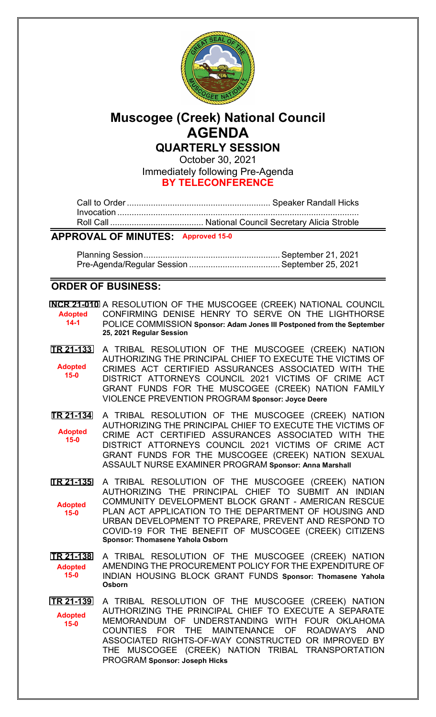

# **Muscogee (Creek) National Council AGENDA QUARTERLY SESSION**

October 30, 2021 Immediately following Pre-Agenda

**BY TELECONFERENCE**

# **APPROVAL OF MINUTES: Approved 15-0**

Planning Session......................................................... September 21, 2021 Pre-Agenda/Regular Session ...................................... September 25, 2021

## **ORDER OF BUSINESS:**

**[NCR 21-010](bills/NCR21-010.pdf)** A RESOLUTION OF THE MUSCOGEE (CREEK) NATIONAL COUNCIL CONFIRMING DENISE HENRY TO SERVE ON THE LIGHTHORSE POLICE COMMISSION **Sponsor: Adam Jones III Postponed from the September 25, 2021 Regular Session Adopted 14-1**

- **[TR 21-133](bills/21-133.pdf)** A TRIBAL RESOLUTION OF THE MUSCOGEE (CREEK) NATION AUTHORIZING THE PRINCIPAL CHIEF TO EXECUTE THE VICTIMS OF CRIMES ACT CERTIFIED ASSURANCES ASSOCIATED WITH THE DISTRICT ATTORNEYS COUNCIL 2021 VICTIMS OF CRIME ACT GRANT FUNDS FOR THE MUSCOGEE (CREEK) NATION FAMILY VIOLENCE PREVENTION PROGRAM **Sponsor: [Joyce Deere](mailto:jcdeere@mcn-nsn.gov) Adopted 15-0**
- **[TR 21-134](bills/21-134.pdf)** A TRIBAL RESOLUTION OF THE MUSCOGEE (CREEK) NATION AUTHORIZING THE PRINCIPAL CHIEF TO EXECUTE THE VICTIMS OF CRIME ACT CERTIFIED ASSURANCES ASSOCIATED WITH THE DISTRICT ATTORNEYS COUNCIL 2021 VICTIMS OF CRIME ACT GRANT FUNDS FOR THE MUSCOGEE (CREEK) NATION SEXUAL ASSAULT NURSE EXAMINER PROGRAM **Sponsor: [Anna Marshall](mailto:amarshall@mcn-nsn.gov) Adopted 15-0**
- **[TR 21-135](bills/21-135.pdf)** A TRIBAL RESOLUTION OF THE MUSCOGEE (CREEK) NATION AUTHORIZING THE PRINCIPAL CHIEF TO SUBMIT AN INDIAN COMMUNITY DEVELOPMENT BLOCK GRANT - AMERICAN RESCUE PLAN ACT APPLICATION TO THE DEPARTMENT OF HOUSING AND URBAN DEVELOPMENT TO PREPARE, PREVENT AND RESPOND TO COVID-19 FOR THE BENEFIT OF MUSCOGEE (CREEK) CITIZENS **Sponsor: Thomasene Yahola Osborn Adopted 15-0**

**[TR 21-138](bills/21-138.pdf)** A TRIBAL RESOLUTION OF THE MUSCOGEE (CREEK) NATION AMENDING THE PROCUREMENT POLICY FOR THE EXPENDITURE OF INDIAN HOUSING BLOCK GRANT FUNDS **Sponsor: Thomasene Yahola Osborn Adopted 15-0**

**[TR 21-139](bills/21-139.pdf)** A TRIBAL RESOLUTION OF THE MUSCOGEE (CREEK) NATION AUTHORIZING THE PRINCIPAL CHIEF TO EXECUTE A SEPARATE MEMORANDUM OF UNDERSTANDING WITH FOUR OKLAHOMA COUNTIES FOR THE MAINTENANCE OF ROADWAYS AND ASSOCIATED RIGHTS-OF-WAY CONSTRUCTED OR IMPROVED BY THE MUSCOGEE (CREEK) NATION TRIBAL TRANSPORTATION PROGRAM **Sponsor: Joseph Hicks Adopted 15-0**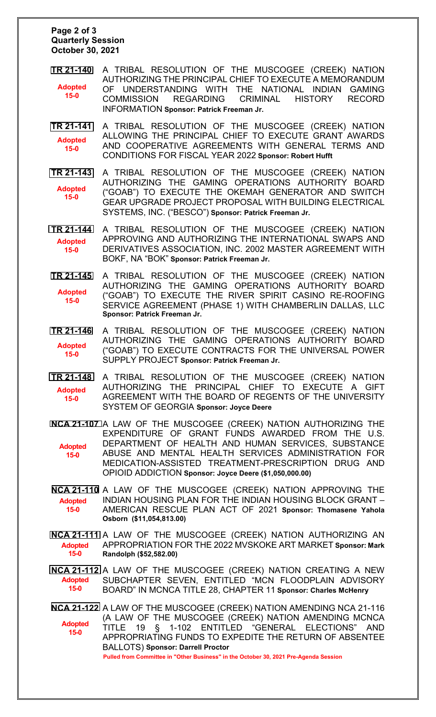#### **Page 2 of 3 Quarterly Session October 30, 2021**

- **[TR 21-140](bills/21-140.pdf)** A TRIBAL RESOLUTION OF THE MUSCOGEE (CREEK) NATION AUTHORIZING THE PRINCIPAL CHIEF TO EXECUTE A MEMORANDUM OF UNDERSTANDING WITH THE NATIONAL INDIAN GAMING COMMISSION REGARDING CRIMINAL HISTORY RECORD INFORMATION **Sponsor: [Patrick Freeman](mailto:pfreeman@mcn-nsn.gov) Jr. Adopted 15-0**
- **[TR 21-141](bills/21-141.pdf)** A TRIBAL RESOLUTION OF THE MUSCOGEE (CREEK) NATION ALLOWING THE PRINCIPAL CHIEF TO EXECUTE GRANT AWARDS AND COOPERATIVE AGREEMENTS WITH GENERAL TERMS AND CONDITIONS FOR FISCAL YEAR 2022 **Sponsor: [Robert Hufft](mailto:rhufft@mcn-nsn.gov) Adopted 15-0**
- **[TR 21-143](bills/21-143.pdf)** A TRIBAL RESOLUTION OF THE MUSCOGEE (CREEK) NATION AUTHORIZING THE GAMING OPERATIONS AUTHORITY BOARD ("GOAB") TO EXECUTE THE OKEMAH GENERATOR AND SWITCH GEAR UPGRADE PROJECT PROPOSAL WITH BUILDING ELECTRICAL SYSTEMS, INC. ("BESCO") **Sponsor: [Patrick Freeman](mailto:pfreeman@mcn-nsn.gov) Jr. Adopted 15-0**
- **[TR 21-144](bills/21-144.pdf)** A TRIBAL RESOLUTION OF THE MUSCOGEE (CREEK) NATION APPROVING AND AUTHORIZING THE INTERNATIONAL SWAPS AND DERIVATIVES ASSOCIATION, INC. 2002 MASTER AGREEMENT WITH BOKF, NA "BOK" **Sponsor: [Patrick Freeman](mailto:pfreeman@mcn-nsn.gov) Jr. Adopted 15-0**
- **[TR 21-145](bills/21-145.pdf)** A TRIBAL RESOLUTION OF THE MUSCOGEE (CREEK) NATION AUTHORIZING THE GAMING OPERATIONS AUTHORITY BOARD ("GOAB") TO EXECUTE THE RIVER SPIRIT CASINO RE-ROOFING SERVICE AGREEMENT (PHASE 1) WITH CHAMBERLIN DALLAS, LLC **Sponsor: [Patrick Freeman](mailto:pfreeman@mcn-nsn.gov) Jr. Adopted 15-0**
- **[TR 21-146](bills/21-146.pdf)** A TRIBAL RESOLUTION OF THE MUSCOGEE (CREEK) NATION AUTHORIZING THE GAMING OPERATIONS AUTHORITY BOARD ("GOAB") TO EXECUTE CONTRACTS FOR THE UNIVERSAL POWER SUPPLY PROJECT **Sponsor: [Patrick Freeman](mailto:pfreeman@mcn-nsn.gov) Jr. Adopted 15-0**
- **[TR 21-148](bills/21-148.pdf)** A TRIBAL RESOLUTION OF THE MUSCOGEE (CREEK) NATION AUTHORIZING THE PRINCIPAL CHIEF TO EXECUTE A GIFT AGREEMENT WITH THE BOARD OF REGENTS OF THE UNIVERSITY SYSTEM OF GEORGIA **Sponsor: [Joyce Deere](mailto:jcdeere@mcn-nsn.gov) Adopted 15-0**
- **[NCA 21-107](bills/NCA21-107.pdf)** A LAW OF THE MUSCOGEE (CREEK) NATION AUTHORIZING THE EXPENDITURE OF GRANT FUNDS AWARDED FROM THE U.S. DEPARTMENT OF HEALTH AND HUMAN SERVICES, SUBSTANCE ABUSE AND MENTAL HEALTH SERVICES ADMINISTRATION FOR MEDICATION-ASSISTED TREATMENT-PRESCRIPTION DRUG AND OPIOID ADDICTION **Sponsor: [Joyce Deere](mailto:jcdeere@mcn-nsn.gov) (\$1,050,000.00) Adopted 15-0**
- **[NCA 21-110](bills/NCA21-110.pdf)** A LAW OF THE MUSCOGEE (CREEK) NATION APPROVING THE INDIAN HOUSING PLAN FOR THE INDIAN HOUSING BLOCK GRANT – AMERICAN RESCUE PLAN ACT OF 2021 **Sponsor: [Thomasene Yahola](mailto:tosborn@mcn-nsn.gov)  [Osborn](mailto:tosborn@mcn-nsn.gov) (\$11,054,813.00) Adopted 15-0**
- **[NCA 21-111](bills/NCA21-111.pdf)** A LAW OF THE MUSCOGEE (CREEK) NATION AUTHORIZING AN APPROPRIATION FOR THE 2022 MVSKOKE ART MARKET **Sponsor[: Mark](mailto:mrandolph@mcn-nsn.gov)  [Randolph](mailto:mrandolph@mcn-nsn.gov) (\$52,582.00) Adopted 15-0**
- **[NCA 21-112](bills/NCA21-112.pdf)** A LAW OF THE MUSCOGEE (CREEK) NATION CREATING A NEW SUBCHAPTER SEVEN, ENTITLED "MCN FLOODPLAIN ADVISORY BOARD" IN MCNCA TITLE 28, CHAPTER 11 **Sponsor: [Charles McHenry](mailto:cmchenry@mcn-nsn.gov)  Adopted 15-0**
- **[NCA 21-122](bills/NCA21-122.pdf)** A LAW OF THE MUSCOGEE (CREEK) NATION AMENDING NCA 21-116 (A LAW OF THE MUSCOGEE (CREEK) NATION AMENDING MCNCA TITLE 19 § 1-102 ENTITLED "GENERAL ELECTIONS" AND APPROPRIATING FUNDS TO EXPEDITE THE RETURN OF ABSENTEE BALLOTS) **Sponsor: Darrell Proctor Pulled from Committee in "Other Business" in the October 30, 2021 Pre-Agenda Session Adopted 15-0**